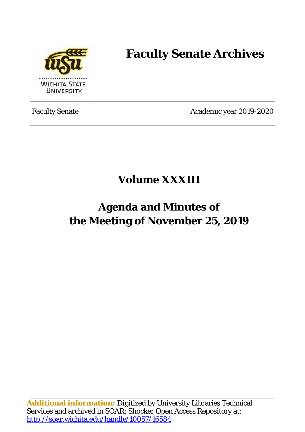

# **Faculty Senate Archives**

Faculty Senate Academic year 2019-2020

### **Volume XXXIII**

## **Agenda and Minutes of the Meeting of November 25, 2019**

**Additional information:** Digitized by University Libraries Technical Services and archived in SOAR: Shocker Open Access Repository at: <http://soar.wichita.edu/handle/10057/16584>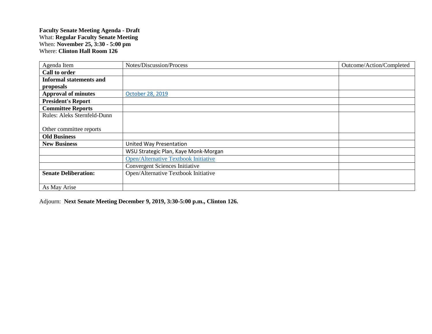### **Faculty Senate Meeting Agenda - Draft** What: **Regular Faculty Senate Meeting** When: **November 25, 3:30 - 5:00 pm** Where: **Clinton Hall Room 126**

| Agenda Item                    | Notes/Discussion/Process                    | Outcome/Action/Completed |
|--------------------------------|---------------------------------------------|--------------------------|
| Call to order                  |                                             |                          |
| <b>Informal statements and</b> |                                             |                          |
| proposals                      |                                             |                          |
| <b>Approval of minutes</b>     | October 28, 2019                            |                          |
| <b>President's Report</b>      |                                             |                          |
| <b>Committee Reports</b>       |                                             |                          |
| Rules: Aleks Sternfeld-Dunn    |                                             |                          |
|                                |                                             |                          |
| Other committee reports        |                                             |                          |
| <b>Old Business</b>            |                                             |                          |
| <b>New Business</b>            | United Way Presentation                     |                          |
|                                | WSU Strategic Plan, Kaye Monk-Morgan        |                          |
|                                | <b>Open/Alternative Textbook Initiative</b> |                          |
|                                | Convergent Sciences Initiative              |                          |
| <b>Senate Deliberation:</b>    | Open/Alternative Textbook Initiative        |                          |
|                                |                                             |                          |
| As May Arise                   |                                             |                          |

Adjourn: **Next Senate Meeting December 9, 2019, 3:30-5:00 p.m., Clinton 126.**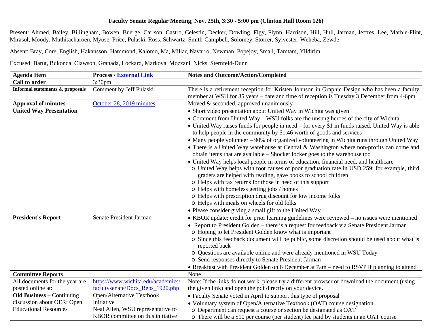#### **Faculty Senate Regular Meeting**; **Nov. 25th, 3:30 - 5:00 pm (Clinton Hall Room 126)**

Present: Ahmed, Bailey, Billingham, Bowen, Buerge, Carlson, Castro, Celestin, Decker, Dowling, Figy, Flynn, Harrison, Hill, Hull, Jarman, Jeffres, Lee, Marble-Flint, Mirasol, Moody, Muthitacharoen, Myose, Price, Pulaski, Ross, Schwartz, Smith-Campbell, Solomey, Storrer, Sylvester, Weheba, Zewde

Absent: Bray, Core, English, Hakansson, Hammond, Kalomo, Ma, Millar, Navarro, Newman, Popejoy, Small, Tamtam, Yildirim

Excused: Barut, Bukonda, Clawson, Granada, Lockard, Markova, Mozzani, Nicks, Sternfeld-Dunn

| <b>Agenda Item</b>               | <b>Process / External Link</b>     | <b>Notes and Outcome/Action/Completed</b>                                                                    |
|----------------------------------|------------------------------------|--------------------------------------------------------------------------------------------------------------|
| <b>Call to order</b>             | 3:30 <sub>pm</sub>                 |                                                                                                              |
| Informal statements & proposals  | Comment by Jeff Pulaski            | There is a retirement reception for Kristen Johnson in Graphic Design who has been a faculty                 |
|                                  |                                    | member at WSU for 35 years – date and time of reception is Tuesday 3 December from 4-6pm                     |
| <b>Approval of minutes</b>       | October 28, 2019 minutes           | Moved & seconded, approved unanimously                                                                       |
| <b>United Way Presentation</b>   |                                    | • Short video presentation about United Way in Wichita was given                                             |
|                                  |                                    | • Comment from United Way – WSU folks are the unsung heroes of the city of Wichita                           |
|                                  |                                    | • United Way raises funds for people in need – for every \$1 in funds raised, United Way is able             |
|                                  |                                    | to help people in the community by \$1.46 worth of goods and services                                        |
|                                  |                                    | • Many people volunteer – 90% of organized volunteering in Wichita runs through United Way                   |
|                                  |                                    | • There is a United Way warehouse at Central & Washington where non-profits can come and                     |
|                                  |                                    | obtain items that are available - Shocker locker goes to the warehouse too                                   |
|                                  |                                    | • United Way helps local people in terms of education, financial need, and healthcare                        |
|                                  |                                    | o United Way helps with root causes of poor graduation rate in USD 259; for example, third                   |
|                                  |                                    | graders are helped with reading, gave books to school children                                               |
|                                  |                                    | o Helps with tax returns for those in need of this support                                                   |
|                                  |                                    | o Helps with homeless getting jobs / homes                                                                   |
|                                  |                                    | o Helps with prescription drug discount for low income folks                                                 |
|                                  |                                    | o Helps with meals on wheels for old folks                                                                   |
|                                  |                                    | • Please consider giving a small gift to the United Way                                                      |
| <b>President's Report</b>        | Senate President Jarman            | • KBOR update: credit for prior learning guidelines were reviewed - no issues were mentioned                 |
|                                  |                                    | • Report to President Golden – there is a request for feedback via Senate President Jarman                   |
|                                  |                                    | o Hoping to let President Golden know what is important                                                      |
|                                  |                                    | o Since this feedback document will be public, some discretion should be used about what is<br>reported back |
|                                  |                                    | o Questions are available online and were already mentioned in WSU Today                                     |
|                                  |                                    | o Send responses directly to Senate President Jarman                                                         |
|                                  |                                    | • Breakfast with President Golden on 6 December at 7am – need to RSVP if planning to attend                  |
| <b>Committee Reports</b>         |                                    | None                                                                                                         |
| All documents for the year are   | https://www.wichita.edu/academics/ | Note: If the links do not work, please try a different browser or download the document (using               |
| posted online at:                | facultysenate/Docs_Reps_1920.php   | the given link) and open the pdf directly on your device.                                                    |
| <b>Old Business - Continuing</b> | Open/Alternative Textbook          | • Faculty Senate voted in April to support this type of proposal                                             |
| discussion about OER: Open       | Initiative                         | • Voluntary system of Open/Alternative Textbook (OAT) course designation                                     |
| <b>Educational Resources</b>     | Neal Allen, WSU representative to  | o Department can request a course or section be designated as OAT                                            |
|                                  | KBOR committee on this initiative  | o There will be a \$10 per course (per student) fee paid by students in an OAT course                        |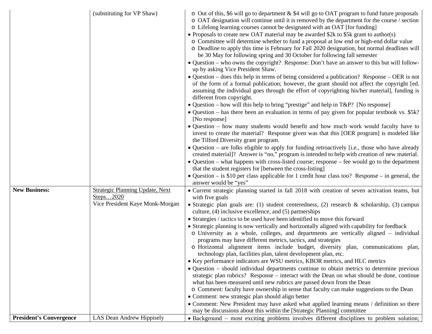|                                | (substituting for VP Shaw)                                                             | $\circ$ Out of this, \$6 will go to department & \$4 will go to OAT program to fund future proposals<br>o OAT designation will continue until it is removed by the department for the course / section<br>o Lifelong learning courses cannot be designated with an OAT [for funding]<br>• Proposals to create new OAT material may be awarded \$2k to \$5k grant to author(s)<br>o Committee will determine whether to fund a proposal at low end or high-end dollar value<br>o Deadline to apply this time is February for Fall 2020 designation, but normal deadlines will<br>be 30 May for following spring and 30 October for following fall semester<br>• Question – who owns the copyright? Response: Don't have an answer to this but will follow-<br>up by asking Vice President Shaw.<br>• Question – does this help in terms of being considered a publication? Response – OER is not<br>of the form of a formal publication; however, the grant should not affect the copyright [ed.<br>assuming the individual goes through the effort of copyrighting his/her material], funding is<br>different from copyright.<br>• Question – how will this help to bring "prestige" and help in T&P? [No response]<br>• Question – has there been an evaluation in terms of pay given for popular textbook vs. \$5k?<br>[No response]<br>• Question – how many students would benefit and how much work would faculty have to<br>invest to create the material? Response given was that this [OER program] is modeled like<br>the Tilford Diversity grant program.<br>• Question – are folks eligible to apply for funding retroactively [i.e., those who have already<br>created material]? Answer is "no," program is intended to help with creation of new material.<br>• Question – what happens with cross-listed course; response – fee would go to the department<br>that the student registers for [between the cross-listing]<br>• Question – is \$10 per class applicable for 1 credit hour class too? Response – in general, the<br>answer would be "yes" |
|--------------------------------|----------------------------------------------------------------------------------------|-----------------------------------------------------------------------------------------------------------------------------------------------------------------------------------------------------------------------------------------------------------------------------------------------------------------------------------------------------------------------------------------------------------------------------------------------------------------------------------------------------------------------------------------------------------------------------------------------------------------------------------------------------------------------------------------------------------------------------------------------------------------------------------------------------------------------------------------------------------------------------------------------------------------------------------------------------------------------------------------------------------------------------------------------------------------------------------------------------------------------------------------------------------------------------------------------------------------------------------------------------------------------------------------------------------------------------------------------------------------------------------------------------------------------------------------------------------------------------------------------------------------------------------------------------------------------------------------------------------------------------------------------------------------------------------------------------------------------------------------------------------------------------------------------------------------------------------------------------------------------------------------------------------------------------------------------------------------------------------------------------------------------------------------------------------------------|
| <b>New Business:</b>           | <b>Strategic Planning Update, Next</b><br>Steps2020<br>Vice President Kaye Monk-Morgan | • Current strategic planning started in fall 2018 with creation of seven activation teams, but<br>with five goals<br>• Strategic plan goals are: (1) student centeredness, (2) research & scholarship, (3) campus<br>culture, (4) inclusive excellence, and (5) partnerships<br>• Strategies / tactics to be used have been identified to move this forward<br>• Strategic planning is now vertically and horizontally aligned with capability for feedback<br>o University as a whole, colleges, and departments are vertically aligned – individual<br>programs may have different metrics, tactics, and strategies<br>o Horizontal alignment items include budget, diversity plan, communications plan,<br>technology plan, facilities plan, talent development plan, etc.<br>• Key performance indicators are WSU metrics, KBOR metrics, and HLC metrics<br>• Question – should individual departments continue to obtain metrics to determine previous<br>strategic plan rubrics? Response - interact with the Dean on what should be done, continue<br>what has been measured until new rubrics are passed down from the Dean<br>o Comment: faculty have ownership in sense that faculty can make suggestions to the Dean<br>• Comment: new strategic plan should align better<br>• Comment: New President may have asked what applied learning means / definition so there<br>may be discussions about this within the [Strategic Planning] committee                                                                                                                                                                                                                                                                                                                                                                                                                                                                                                                                                                                                          |
| <b>President's Convergence</b> | LAS Dean Andrew Hippisely                                                              | • Background – most exciting problems involves different disciplines to problem solution;                                                                                                                                                                                                                                                                                                                                                                                                                                                                                                                                                                                                                                                                                                                                                                                                                                                                                                                                                                                                                                                                                                                                                                                                                                                                                                                                                                                                                                                                                                                                                                                                                                                                                                                                                                                                                                                                                                                                                                             |